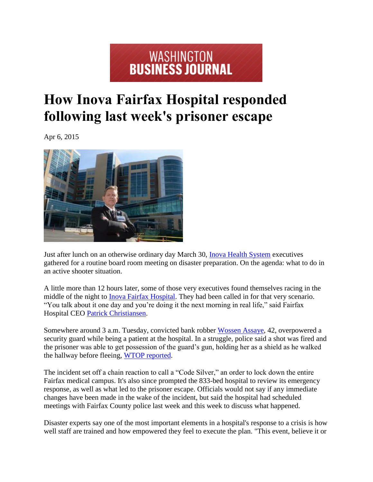## **EXAMPLE SET AND STREET STREET SIDE IN A STREET STREET STREET STREET STREET STREET STREET STREET STREET STREET**

## **How Inova Fairfax Hospital responded following last week's prisoner escape**

Apr 6, 2015



Just after lunch on an otherwise ordinary day March 30, Inova Health System executives gathered for a routine board room meeting on disaster preparation. On the agenda: what to do in an active shooter situation.

A little more than 12 hours later, some of those very executives found themselves racing in the middle of the night to Inova Fairfax Hospital. They had been called in for that very scenario. "You talk about it one day and you're doing it the next morning in real life," said Fairfax Hospital CEO Patrick Christiansen.

Somewhere around 3 a.m. Tuesday, convicted bank robber Wossen Assaye, 42, overpowered a security guard while being a patient at the hospital. In a struggle, police said a shot was fired and the prisoner was able to get possession of the guard's gun, holding her as a shield as he walked the hallway before fleeing, WTOP reported.

The incident set off a chain reaction to call a "Code Silver," an order to lock down the entire Fairfax medical campus. It's also since prompted the 833-bed hospital to review its emergency response, as well as what led to the prisoner escape. Officials would not say if any immediate changes have been made in the wake of the incident, but said the hospital had scheduled meetings with Fairfax County police last week and this week to discuss what happened.

Disaster experts say one of the most important elements in a hospital's response to a crisis is how well staff are trained and how empowered they feel to execute the plan. "This event, believe it or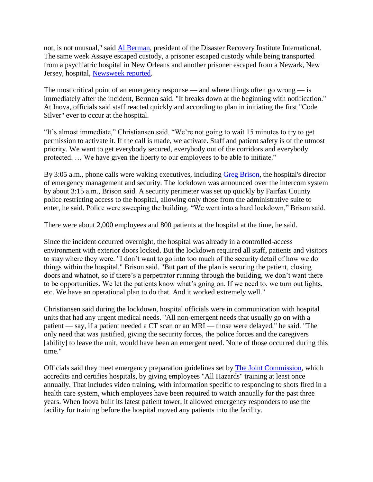not, is not unusual," said [Al Berman,](http://www.bizjournals.com/washington/search/results?q=Al%20Berman) president of the Disaster Recovery Institute International. The same week Assaye escaped custody, a prisoner escaped custody while being transported from a psychiatric hospital in New Orleans and another prisoner escaped from a Newark, New Jersey, hospital, Newsweek reported.

The most critical point of an emergency response — and where things often go wrong — is immediately after the incident, Berman said. "It breaks down at the beginning with notification." At Inova, officials said staff reacted quickly and according to plan in initiating the first "Code Silver" ever to occur at the hospital.

"It's almost immediate," Christiansen said. "We're not going to wait 15 minutes to try to get permission to activate it. If the call is made, we activate. Staff and patient safety is of the utmost priority. We want to get everybody secured, everybody out of the corridors and everybody protected. … We have given the liberty to our employees to be able to initiate."

By 3:05 a.m., phone calls were waking executives, including [Greg Brison,](http://www.bizjournals.com/washington/search/results?q=Greg%20Brison) the hospital's director of emergency management and security. The lockdown was announced over the intercom system by about 3:15 a.m., Brison said. A security perimeter was set up quickly by Fairfax County police restricting access to the hospital, allowing only those from the administrative suite to enter, he said. Police were sweeping the building. "We went into a hard lockdown," Brison said.

There were about 2,000 employees and 800 patients at the hospital at the time, he said.

Since the incident occurred overnight, the hospital was already in a controlled-access environment with exterior doors locked. But the lockdown required all staff, patients and visitors to stay where they were. "I don't want to go into too much of the security detail of how we do things within the hospital," Brison said. "But part of the plan is securing the patient, closing doors and whatnot, so if there's a perpetrator running through the building, we don't want there to be opportunities. We let the patients know what's going on. If we need to, we turn out lights, etc. We have an operational plan to do that. And it worked extremely well."

Christiansen said during the lockdown, hospital officials were in communication with hospital units that had any urgent medical needs. "All non-emergent needs that usually go on with a patient — say, if a patient needed a CT scan or an MRI — those were delayed," he said. "The only need that was justified, giving the security forces, the police forces and the caregivers [ability] to leave the unit, would have been an emergent need. None of those occurred during this time."

Officials said they meet emergency preparation guidelines set by [The Joint Commission,](http://www.bizjournals.com/profiles/company/us/dc/washington/the_joint_commission/2559618) which accredits and certifies hospitals, by giving employees "All Hazards" training at least once annually. That includes video training, with information specific to responding to shots fired in a health care system, which employees have been required to watch annually for the past three years. When Inova built its latest patient tower, it allowed emergency responders to use the facility for training before the hospital moved any patients into the facility.